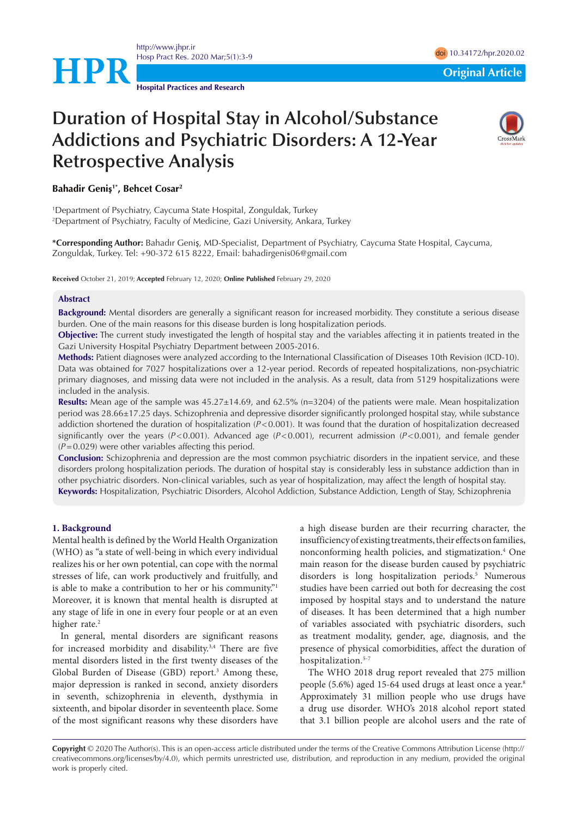

<http://www.jhpr.ir> Hosp Pract Res. 2020 Mar;5(1):3-9 doi [10.34172/hpr.2020.02](https://doi.org/10.34172/hpr.2020.02)

**Hospital Practices and Research**

# **Duration of Hospital Stay in Alcohol/Substance Addictions and Psychiatric Disorders: A 12-Year Retrospective Analysis**



# **Bahadir Geniş1\*, Behcet Cosar2**

1 Department of Psychiatry, Caycuma State Hospital, Zonguldak, Turkey 2 Department of Psychiatry, Faculty of Medicine, Gazi University, Ankara, Turkey

**\*Corresponding Author:** Bahadır Geniş, MD-Specialist, Department of Psychiatry, Caycuma State Hospital, Caycuma, Zonguldak, Turkey. Tel: +90-372 615 8222, Email: bahadirgenis06@gmail.com

**Received** October 21, 2019; **Accepted** February 12, 2020; **Online Published** February 29, 2020

#### **Abstract**

**Background:** Mental disorders are generally a significant reason for increased morbidity. They constitute a serious disease burden. One of the main reasons for this disease burden is long hospitalization periods.

**Objective:** The current study investigated the length of hospital stay and the variables affecting it in patients treated in the Gazi University Hospital Psychiatry Department between 2005-2016.

**Methods:** Patient diagnoses were analyzed according to the International Classification of Diseases 10th Revision (ICD-10). Data was obtained for 7027 hospitalizations over a 12-year period. Records of repeated hospitalizations, non-psychiatric primary diagnoses, and missing data were not included in the analysis. As a result, data from 5129 hospitalizations were included in the analysis.

**Results:** Mean age of the sample was 45.27±14.69, and 62.5% (n=3204) of the patients were male. Mean hospitalization period was 28.66±17.25 days. Schizophrenia and depressive disorder significantly prolonged hospital stay, while substance addiction shortened the duration of hospitalization (*P*<0.001). It was found that the duration of hospitalization decreased significantly over the years (*P*<0.001). Advanced age (*P*<0.001), recurrent admission (*P*<0.001), and female gender (*P*=0.029) were other variables affecting this period.

**Conclusion:** Schizophrenia and depression are the most common psychiatric disorders in the inpatient service, and these disorders prolong hospitalization periods. The duration of hospital stay is considerably less in substance addiction than in other psychiatric disorders. Non-clinical variables, such as year of hospitalization, may affect the length of hospital stay. **Keywords:** Hospitalization, Psychiatric Disorders, Alcohol Addiction, Substance Addiction, Length of Stay, Schizophrenia

#### **1. Background**

Mental health is defined by the World Health Organization (WHO) as "a state of well-being in which every individual realizes his or her own potential, can cope with the normal stresses of life, can work productively and fruitfully, and is able to make a contribution to her or his community."1 Moreover, it is known that mental health is disrupted at any stage of life in one in every four people or at an even higher rate.<sup>2</sup>

In general, mental disorders are significant reasons for increased morbidity and disability.3,4 There are five mental disorders listed in the first twenty diseases of the Global Burden of Disease (GBD) report.<sup>3</sup> Among these, major depression is ranked in second, anxiety disorders in seventh, schizophrenia in eleventh, dysthymia in sixteenth, and bipolar disorder in seventeenth place. Some of the most significant reasons why these disorders have a high disease burden are their recurring character, the insufficiency of existing treatments, their effects on families, nonconforming health policies, and stigmatization.<sup>4</sup> One main reason for the disease burden caused by psychiatric disorders is long hospitalization periods.<sup>5</sup> Numerous studies have been carried out both for decreasing the cost imposed by hospital stays and to understand the nature of diseases. It has been determined that a high number of variables associated with psychiatric disorders, such as treatment modality, gender, age, diagnosis, and the presence of physical comorbidities, affect the duration of hospitalization.<sup>5-7</sup>

The WHO 2018 drug report revealed that 275 million people (5.6%) aged 15-64 used drugs at least once a year.<sup>8</sup> Approximately 31 million people who use drugs have a drug use disorder. WHO's 2018 alcohol report stated that 3.1 billion people are alcohol users and the rate of

**Copyright** © 2020 The Author(s). This is an open-access article distributed under the terms of the Creative Commons Attribution License (http:// creativecommons.org/licenses/by/4.0), which permits unrestricted use, distribution, and reproduction in any medium, provided the original work is properly cited.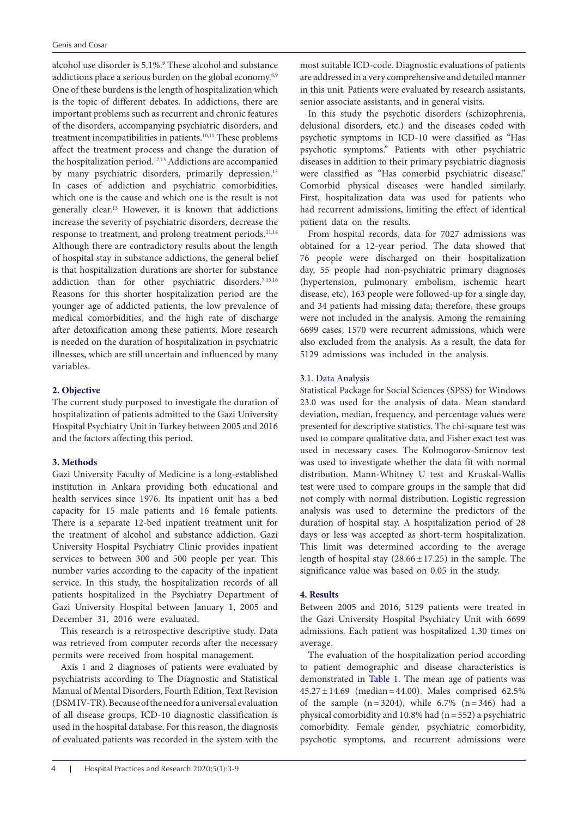alcohol use disorder is 5.1%.<sup>9</sup> These alcohol and substance addictions place a serious burden on the global economy.<sup>8,9</sup> One of these burdens is the length of hospitalization which is the topic of different debates. In addictions, there are important problems such as recurrent and chronic features of the disorders, accompanying psychiatric disorders, and treatment incompatibilities in patients.<sup>10,11</sup> These problems affect the treatment process and change the duration of the hospitalization period.<sup>12,13</sup> Addictions are accompanied by many psychiatric disorders, primarily depression.<sup>13</sup> In cases of addiction and psychiatric comorbidities, which one is the cause and which one is the result is not generally clear.13 However, it is known that addictions increase the severity of psychiatric disorders, decrease the response to treatment, and prolong treatment periods.<sup>11,14</sup> Although there are contradictory results about the length of hospital stay in substance addictions, the general belief is that hospitalization durations are shorter for substance addiction than for other psychiatric disorders.<sup>7,15,16</sup> Reasons for this shorter hospitalization period are the younger age of addicted patients, the low prevalence of medical comorbidities, and the high rate of discharge after detoxification among these patients. More research is needed on the duration of hospitalization in psychiatric illnesses, which are still uncertain and influenced by many variables.

# **2. Objective**

The current study purposed to investigate the duration of hospitalization of patients admitted to the Gazi University Hospital Psychiatry Unit in Turkey between 2005 and 2016 and the factors affecting this period.

# **3. Methods**

Gazi University Faculty of Medicine is a long-established institution in Ankara providing both educational and health services since 1976. Its inpatient unit has a bed capacity for 15 male patients and 16 female patients. There is a separate 12-bed inpatient treatment unit for the treatment of alcohol and substance addiction. Gazi University Hospital Psychiatry Clinic provides inpatient services to between 300 and 500 people per year. This number varies according to the capacity of the inpatient service. In this study, the hospitalization records of all patients hospitalized in the Psychiatry Department of Gazi University Hospital between January 1, 2005 and December 31, 2016 were evaluated.

This research is a retrospective descriptive study. Data was retrieved from computer records after the necessary permits were received from hospital management.

Axis 1 and 2 diagnoses of patients were evaluated by psychiatrists according to The Diagnostic and Statistical Manual of Mental Disorders, Fourth Edition, Text Revision (DSM IV-TR). Because of the need for a universal evaluation of all disease groups, ICD-10 diagnostic classification is used in the hospital database. For this reason, the diagnosis of evaluated patients was recorded in the system with the

are addressed in a very comprehensive and detailed manner in this unit. Patients were evaluated by research assistants, senior associate assistants, and in general visits. In this study the psychotic disorders (schizophrenia,

delusional disorders, etc.) and the diseases coded with psychotic symptoms in ICD-10 were classified as "Has psychotic symptoms." Patients with other psychiatric diseases in addition to their primary psychiatric diagnosis were classified as "Has comorbid psychiatric disease." Comorbid physical diseases were handled similarly. First, hospitalization data was used for patients who had recurrent admissions, limiting the effect of identical patient data on the results.

most suitable ICD-code. Diagnostic evaluations of patients

From hospital records, data for 7027 admissions was obtained for a 12-year period. The data showed that 76 people were discharged on their hospitalization day, 55 people had non-psychiatric primary diagnoses (hypertension, pulmonary embolism, ischemic heart disease, etc), 163 people were followed-up for a single day, and 34 patients had missing data; therefore, these groups were not included in the analysis. Among the remaining 6699 cases, 1570 were recurrent admissions, which were also excluded from the analysis. As a result, the data for 5129 admissions was included in the analysis.

#### 3.1. Data Analysis

Statistical Package for Social Sciences (SPSS) for Windows 23.0 was used for the analysis of data. Mean standard deviation, median, frequency, and percentage values were presented for descriptive statistics. The chi-square test was used to compare qualitative data, and Fisher exact test was used in necessary cases. The Kolmogorov-Smirnov test was used to investigate whether the data fit with normal distribution. Mann-Whitney U test and Kruskal-Wallis test were used to compare groups in the sample that did not comply with normal distribution. Logistic regression analysis was used to determine the predictors of the duration of hospital stay. A hospitalization period of 28 days or less was accepted as short-term hospitalization. This limit was determined according to the average length of hospital stay  $(28.66 \pm 17.25)$  in the sample. The significance value was based on 0.05 in the study.

#### **4. Results**

Between 2005 and 2016, 5129 patients were treated in the Gazi University Hospital Psychiatry Unit with 6699 admissions. Each patient was hospitalized 1.30 times on average.

The evaluation of the hospitalization period according to patient demographic and disease characteristics is demonstrated in [Table 1](#page-2-0). The mean age of patients was  $45.27 \pm 14.69$  (median = 44.00). Males comprised 62.5% of the sample  $(n=3204)$ , while  $6.7\%$   $(n=346)$  had a physical comorbidity and  $10.8\%$  had (n = 552) a psychiatric comorbidity. Female gender, psychiatric comorbidity, psychotic symptoms, and recurrent admissions were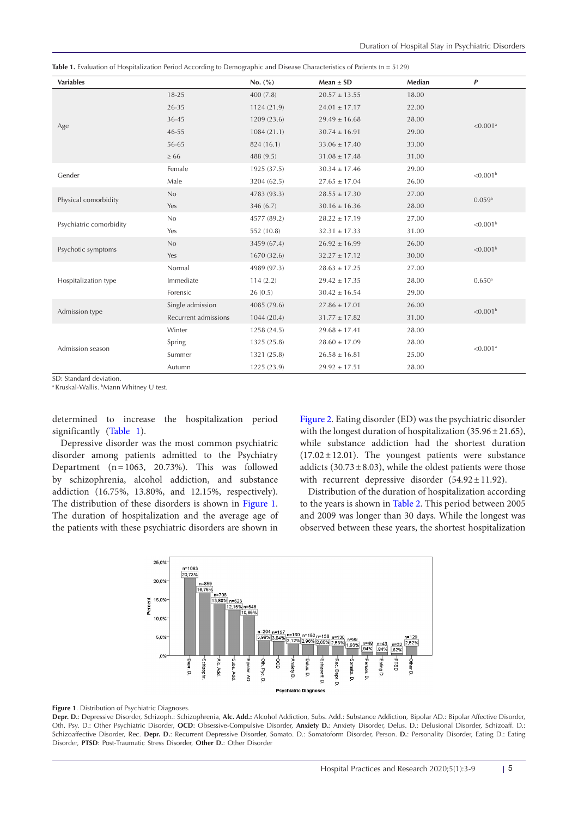<span id="page-2-0"></span>

|  | Table 1. Evaluation of Hospitalization Period According to Demographic and Disease Characteristics of Patients (n = 5129) |  |  |  |  |  |
|--|---------------------------------------------------------------------------------------------------------------------------|--|--|--|--|--|
|--|---------------------------------------------------------------------------------------------------------------------------|--|--|--|--|--|

| <b>Variables</b>        |                      | No. (%)     | $Mean \pm SD$     | Median | $\boldsymbol{P}$     |  |
|-------------------------|----------------------|-------------|-------------------|--------|----------------------|--|
|                         | $18 - 25$            | 400(7.8)    | $20.57 \pm 13.55$ | 18.00  |                      |  |
|                         | 26-35                | 1124 (21.9) | $24.01 \pm 17.17$ | 22.00  |                      |  |
|                         | 36-45                | 1209 (23.6) | $29.49 \pm 16.68$ | 28.00  | < 0.001a             |  |
| Age                     | $46 - 55$            | 1084(21.1)  | $30.74 \pm 16.91$ | 29.00  |                      |  |
|                         | 56-65                | 824 (16.1)  | $33.06 \pm 17.40$ | 33.00  |                      |  |
|                         | $\geq 66$            | 488 (9.5)   | $31.08 \pm 17.48$ | 31.00  |                      |  |
|                         | Female               | 1925 (37.5) | $30.34 \pm 17.46$ | 29.00  |                      |  |
| Gender                  | Male                 | 3204 (62.5) | $27.65 \pm 17.04$ | 26.00  | < 0.001 <sup>b</sup> |  |
|                         | No                   | 4783 (93.3) | $28.55 \pm 17.30$ | 27.00  | 0.059 <sup>b</sup>   |  |
| Physical comorbidity    | Yes                  | 346(6.7)    | $30.16 \pm 16.36$ | 28.00  |                      |  |
|                         | No                   | 4577 (89.2) | $28.22 \pm 17.19$ | 27.00  | < 0.001 <sup>b</sup> |  |
| Psychiatric comorbidity | Yes                  | 552 (10.8)  | $32.31 \pm 17.33$ | 31.00  |                      |  |
|                         | No                   | 3459 (67.4) | $26.92 \pm 16.99$ | 26.00  |                      |  |
| Psychotic symptoms      | Yes                  | 1670 (32.6) | $32.27 \pm 17.12$ | 30.00  | < 0.001 <sup>b</sup> |  |
|                         | Normal               | 4989 (97.3) | $28.63 \pm 17.25$ | 27.00  |                      |  |
| Hospitalization type    | Immediate            | 114(2.2)    | $29.42 \pm 17.35$ | 28.00  | $0.650$ <sup>a</sup> |  |
|                         | Forensic             | 26(0.5)     | $30.42 \pm 16.54$ | 29.00  |                      |  |
|                         | Single admission     | 4085 (79.6) | $27.86 \pm 17.01$ | 26.00  | < 0.001 <sup>b</sup> |  |
| Admission type          | Recurrent admissions | 1044(20.4)  | $31.77 \pm 17.82$ | 31.00  |                      |  |
|                         | Winter               | 1258 (24.5) | $29.68 \pm 17.41$ | 28.00  | < 0.001a             |  |
|                         | Spring               | 1325 (25.8) | $28.60 \pm 17.09$ | 28.00  |                      |  |
| Admission season        | Summer               | 1321 (25.8) | $26.58 \pm 16.81$ | 25.00  |                      |  |
|                         | Autumn               | 1225 (23.9) | $29.92 \pm 17.51$ | 28.00  |                      |  |

SD: Standard deviation.

<sup>a</sup> Kruskal-Wallis. <sup>b</sup>Mann Whitney U test.

determined to increase the hospitalization period significantly [\(Table 1\)](#page-2-0).

Depressive disorder was the most common psychiatric disorder among patients admitted to the Psychiatry Department (n=1063, 20.73%). This was followed by schizophrenia, alcohol addiction, and substance addiction (16.75%, 13.80%, and 12.15%, respectively). The distribution of these disorders is shown in [Figure 1](#page-2-1). The duration of hospitalization and the average age of the patients with these psychiatric disorders are shown in

[Figure 2.](#page-3-0) Eating disorder (ED) was the psychiatric disorder with the longest duration of hospitalization (35.96 $\pm$ 21.65), while substance addiction had the shortest duration  $(17.02 \pm 12.01)$ . The youngest patients were substance addicts (30.73 $\pm$ 8.03), while the oldest patients were those with recurrent depressive disorder  $(54.92 \pm 11.92)$ .

<span id="page-2-1"></span>Distribution of the duration of hospitalization according to the years is shown in [Table 2](#page-3-1). This period between 2005 and 2009 was longer than 30 days. While the longest was observed between these years, the shortest hospitalization





**Depr. D.**: Depressive Disorder, Schizoph.: Schizophrenia, **Alc. Add.:** Alcohol Addiction, Subs. Add.: Substance Addiction, Bipolar AD.: Bipolar Affective Disorder, Oth. Psy. D.: Other Psychiatric Disorder, **OCD**: Obsessive-Compulsive Disorder, **Anxiety D.**: Anxiety Disorder, Delus. D.: Delusional Disorder, Schizoaff. D.: Schizoaffective Disorder, Rec. **Depr. D.**: Recurrent Depressive Disorder, Somato. D.: Somatoform Disorder, Person. **D.**: Personality Disorder, Eating D.: Eating Disorder, **PTSD**: Post-Traumatic Stress Disorder, **Other D.**: Other Disorder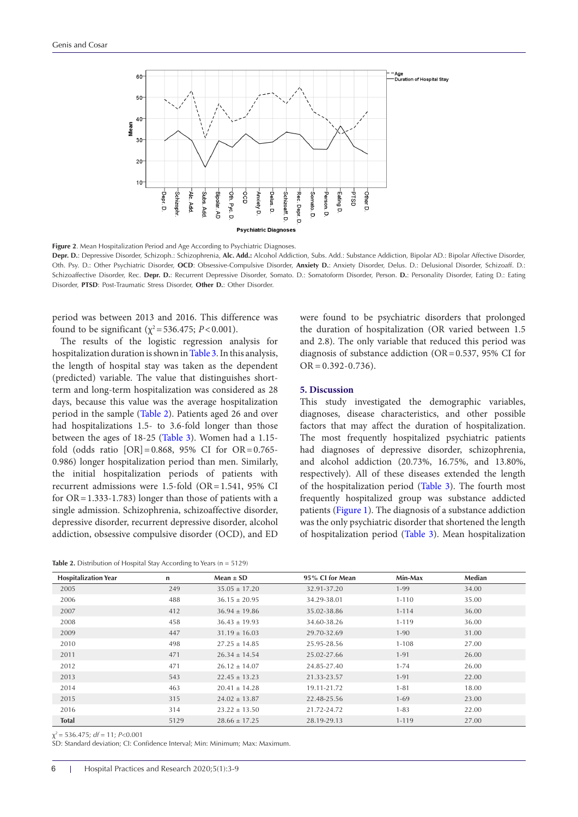<span id="page-3-0"></span>

**Figure 2**. Mean Hospitalization Period and Age According to Psychiatric Diagnoses.

**Depr. D.**: Depressive Disorder, Schizoph.: Schizophrenia, **Alc. Add.:** Alcohol Addiction, Subs. Add.: Substance Addiction, Bipolar AD.: Bipolar Affective Disorder, Oth. Psy. D.: Other Psychiatric Disorder, **OCD**: Obsessive-Compulsive Disorder, **Anxiety D.**: Anxiety Disorder, Delus. D.: Delusional Disorder, Schizoaff. D.: Schizoaffective Disorder, Rec. Depr. D.: Recurrent Depressive Disorder, Somato. D.: Somatoform Disorder, Person. D.: Personality Disorder, Eating D.: Eating Disorder, **PTSD**: Post-Traumatic Stress Disorder, **Other D.**: Other Disorder.

period was between 2013 and 2016. This difference was found to be significant ( $\chi^2$ =536.475; *P*<0.001).

The results of the logistic regression analysis for hospitalization duration is shown in [Table 3.](#page-4-0) In this analysis, the length of hospital stay was taken as the dependent (predicted) variable. The value that distinguishes shortterm and long-term hospitalization was considered as 28 days, because this value was the average hospitalization period in the sample [\(Table 2\)](#page-3-1). Patients aged 26 and over had hospitalizations 1.5- to 3.6-fold longer than those between the ages of 18-25 [\(Table 3](#page-4-0)). Women had a 1.15 fold (odds ratio [OR]=0.868, 95% CI for OR=0.765- 0.986) longer hospitalization period than men. Similarly, the initial hospitalization periods of patients with recurrent admissions were 1.5-fold (OR=1.541, 95% CI for  $OR = 1.333 - 1.783$  longer than those of patients with a single admission. Schizophrenia, schizoaffective disorder, depressive disorder, recurrent depressive disorder, alcohol addiction, obsessive compulsive disorder (OCD), and ED

<span id="page-3-1"></span>Table 2. Distribution of Hospital Stay According to Years (n = 5129)

were found to be psychiatric disorders that prolonged the duration of hospitalization (OR varied between 1.5 and 2.8). The only variable that reduced this period was diagnosis of substance addiction (OR=0.537, 95% CI for  $OR = 0.392 - 0.736$ .

#### **5. Discussion**

This study investigated the demographic variables, diagnoses, disease characteristics, and other possible factors that may affect the duration of hospitalization. The most frequently hospitalized psychiatric patients had diagnoses of depressive disorder, schizophrenia, and alcohol addiction (20.73%, 16.75%, and 13.80%, respectively). All of these diseases extended the length of the hospitalization period ([Table 3](#page-4-0)). The fourth most frequently hospitalized group was substance addicted patients [\(Figure 1](#page-2-1)). The diagnosis of a substance addiction was the only psychiatric disorder that shortened the length of hospitalization period ([Table 3\)](#page-4-0). Mean hospitalization

| <b>Hospitalization Year</b> | $\mathbf n$ | $Mean \pm SD$     | 95% CI for Mean | Min-Max   | Median |  |
|-----------------------------|-------------|-------------------|-----------------|-----------|--------|--|
| 2005                        | 249         | $35.05 \pm 17.20$ | 32.91-37.20     | $1-99$    | 34.00  |  |
| 2006                        | 488         | $36.15 \pm 20.95$ | 34.29-38.01     | $1 - 110$ | 35.00  |  |
| 2007                        | 412         | $36.94 \pm 19.86$ | 35.02-38.86     | $1 - 114$ | 36.00  |  |
| 2008                        | 458         | $36.43 \pm 19.93$ | 34.60-38.26     | $1 - 119$ | 36.00  |  |
| 2009                        | 447         | $31.19 \pm 16.03$ | 29.70-32.69     | $1 - 90$  | 31.00  |  |
| 2010                        | 498         | $27.25 \pm 14.85$ | 25.95-28.56     | $1 - 108$ | 27.00  |  |
| 2011                        | 471         | $26.34 \pm 14.54$ | 25.02-27.66     | $1 - 91$  | 26.00  |  |
| 2012                        | 471         | $26.12 \pm 14.07$ | 24.85-27.40     | $1 - 74$  | 26.00  |  |
| 2013                        | 543         | $22.45 \pm 13.23$ | 21.33-23.57     | $1 - 91$  | 22.00  |  |
| 2014                        | 463         | $20.41 \pm 14.28$ | 19.11-21.72     | $1 - 81$  | 18.00  |  |
| 2015                        | 315         | $24.02 \pm 13.87$ | 22.48-25.56     | $1 - 69$  | 23.00  |  |
| 2016                        | 314         | $23.22 \pm 13.50$ | 21.72-24.72     | $1 - 83$  | 22.00  |  |
| <b>Total</b>                | 5129        | $28.66 \pm 17.25$ | 28.19-29.13     | $1 - 119$ | 27.00  |  |

χ2 = 536.475; *df* = 11; *P*<0.001

SD: Standard deviation; CI: Confidence Interval; Min: Minimum; Max: Maximum.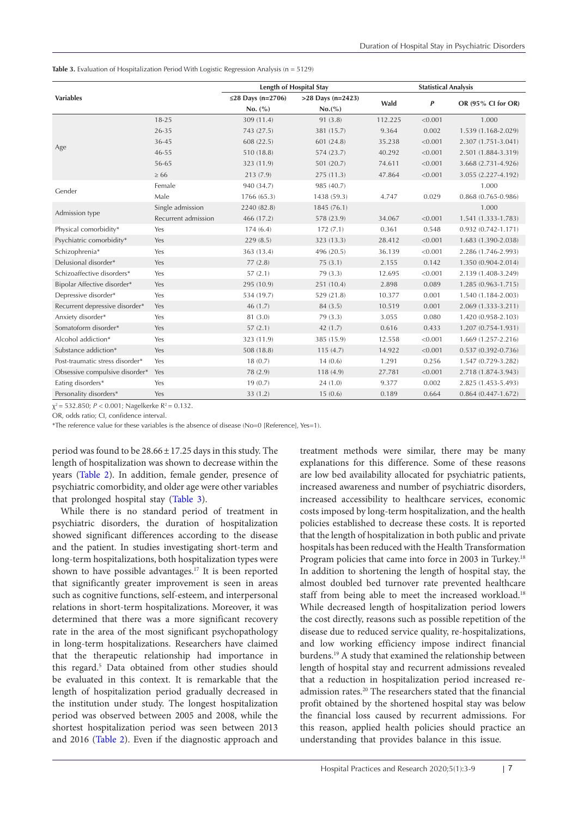<span id="page-4-0"></span>Table 3. Evaluation of Hospitalization Period With Logistic Regression Analysis (n = 5129)

|                                 |                     | <b>Length of Hospital Stay</b> |                     | <b>Statistical Analysis</b> |         |                        |
|---------------------------------|---------------------|--------------------------------|---------------------|-----------------------------|---------|------------------------|
| <b>Variables</b>                |                     | ≤28 Days (n=2706)              | $>28$ Days (n=2423) |                             |         |                        |
|                                 |                     | No. (%)                        | $No. (^{\%})$       | Wald                        | P       | OR (95% CI for OR)     |
|                                 | $18 - 25$           | 309 (11.4)                     | 91 (3.8)            | 112.225                     | < 0.001 | 1.000                  |
|                                 | 26-35               | 743 (27.5)                     | 381 (15.7)          | 9.364                       | 0.002   | 1.539 (1.168-2.029)    |
|                                 | 36-45               | 608 (22.5)                     | 601 (24.8)          | 35.238                      | < 0.001 | 2.307 (1.751-3.041)    |
| Age                             | 46-55               | 510 (18.8)                     | 574 (23.7)          | 40.292                      | < 0.001 | 2.501 (1.884-3.319)    |
|                                 | 56-65               | 323 (11.9)                     | 501 (20.7)          | 74.611                      | < 0.001 | 3.668 (2.731-4.926)    |
|                                 | $\geq 66$           | 213(7.9)                       | 275 (11.3)          | 47.864                      | < 0.001 | 3.055 (2.227-4.192)    |
| Gender                          | Female              | 940 (34.7)                     | 985 (40.7)          |                             |         | 1.000                  |
|                                 | Male                | 1766 (65.3)                    | 1438 (59.3)         | 4.747                       | 0.029   | $0.868(0.765 - 0.986)$ |
|                                 | Single admission    | 2240 (82.8)                    | 1845 (76.1)         |                             |         | 1.000                  |
| Admission type                  | Recurrent admission | 466 (17.2)                     | 578 (23.9)          | 34.067                      | < 0.001 | 1.541 (1.333-1.783)    |
| Physical comorbidity*           | Yes                 | 174(6.4)                       | 172(7.1)            | 0.361                       | 0.548   | $0.932(0.742 - 1.171)$ |
| Psychiatric comorbidity*        | Yes                 | 229(8.5)                       | 323 (13.3)          | 28.412                      | < 0.001 | 1.683 (1.390-2.038)    |
| Schizophrenia*                  | Yes                 | 363 (13.4)                     | 496 (20.5)          | 36.139                      | < 0.001 | 2.286 (1.746-2.993)    |
| Delusional disorder*            | Yes                 | 77(2.8)                        | 75(3.1)             | 2.155                       | 0.142   | 1.350 (0.904-2.014)    |
| Schizoaffective disorders*      | Yes                 | 57(2.1)                        | 79 (3.3)            | 12.695                      | < 0.001 | 2.139 (1.408-3.249)    |
| Bipolar Affective disorder*     | Yes                 | 295 (10.9)                     | 251 (10.4)          | 2.898                       | 0.089   | $1.285(0.963 - 1.715)$ |
| Depressive disorder*            | Yes                 | 534 (19.7)                     | 529 (21.8)          | 10.377                      | 0.001   | 1.540 (1.184-2.003)    |
| Recurrent depressive disorder*  | Yes                 | 46(1.7)                        | 84 (3.5)            | 10.519                      | 0.001   | 2.069 (1.333-3.211)    |
| Anxiety disorder*               | Yes                 | 81 (3.0)                       | 79 (3.3)            | 3.055                       | 0.080   | 1.420 (0.958-2.103)    |
| Somatoform disorder*            | Yes                 | 57(2.1)                        | 42(1.7)             | 0.616                       | 0.433   | 1.207 (0.754-1.931)    |
| Alcohol addiction*              | Yes                 | 323 (11.9)                     | 385 (15.9)          | 12.558                      | < 0.001 | 1.669 (1.257-2.216)    |
| Substance addiction*            | Yes                 | 508 (18.8)                     | 115(4.7)            | 14.922                      | < 0.001 | $0.537(0.392 - 0.736)$ |
| Post-traumatic stress disorder* | Yes                 | 18(0.7)                        | 14(0.6)             | 1.291                       | 0.256   | 1.547 (0.729-3.282)    |
| Obsessive compulsive disorder*  | Yes                 | 78 (2.9)                       | 118(4.9)            | 27.781                      | < 0.001 | 2.718 (1.874-3.943)    |
| Eating disorders*               | Yes                 | 19(0.7)                        | 24(1.0)             | 9.377                       | 0.002   | 2.825 (1.453-5.493)    |
| Personality disorders*          | Yes                 | 33(1.2)                        | 15(0.6)             | 0.189                       | 0.664   | $0.864(0.447-1.672)$   |

 $\chi^2$  = 532.850; *P* < 0.001; Nagelkerke R<sup>2</sup> = 0.132.

OR, odds ratio; CI, confidence interval.

\*The reference value for these variables is the absence of disease (No=0 [Reference], Yes=1).

period was found to be 28.66±17.25 days in this study. The length of hospitalization was shown to decrease within the years ([Table 2](#page-3-1)). In addition, female gender, presence of psychiatric comorbidity, and older age were other variables that prolonged hospital stay ([Table 3\)](#page-4-0).

While there is no standard period of treatment in psychiatric disorders, the duration of hospitalization showed significant differences according to the disease and the patient. In studies investigating short-term and long-term hospitalizations, both hospitalization types were shown to have possible advantages.17 It is been reported that significantly greater improvement is seen in areas such as cognitive functions, self-esteem, and interpersonal relations in short-term hospitalizations. Moreover, it was determined that there was a more significant recovery rate in the area of the most significant psychopathology in long-term hospitalizations. Researchers have claimed that the therapeutic relationship had importance in this regard.<sup>5</sup> Data obtained from other studies should be evaluated in this context. It is remarkable that the length of hospitalization period gradually decreased in the institution under study. The longest hospitalization period was observed between 2005 and 2008, while the shortest hospitalization period was seen between 2013 and 2016 ([Table 2](#page-3-1)). Even if the diagnostic approach and

treatment methods were similar, there may be many explanations for this difference. Some of these reasons are low bed availability allocated for psychiatric patients, increased awareness and number of psychiatric disorders, increased accessibility to healthcare services, economic costs imposed by long-term hospitalization, and the health policies established to decrease these costs. It is reported that the length of hospitalization in both public and private hospitals has been reduced with the Health Transformation Program policies that came into force in 2003 in Turkey.<sup>18</sup> In addition to shortening the length of hospital stay, the almost doubled bed turnover rate prevented healthcare staff from being able to meet the increased workload.<sup>18</sup> While decreased length of hospitalization period lowers the cost directly, reasons such as possible repetition of the disease due to reduced service quality, re-hospitalizations, and low working efficiency impose indirect financial burdens.19 A study that examined the relationship between length of hospital stay and recurrent admissions revealed that a reduction in hospitalization period increased readmission rates.<sup>20</sup> The researchers stated that the financial profit obtained by the shortened hospital stay was below the financial loss caused by recurrent admissions. For this reason, applied health policies should practice an understanding that provides balance in this issue.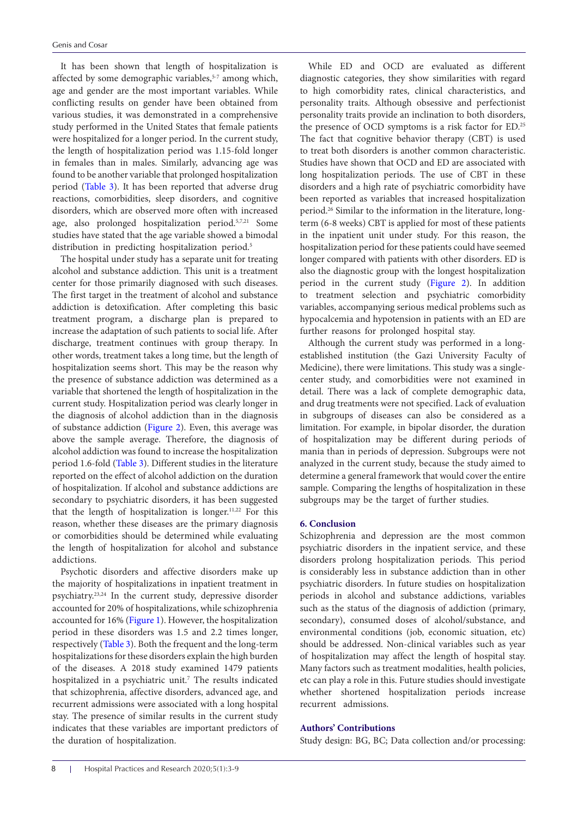It has been shown that length of hospitalization is affected by some demographic variables,<sup>5-7</sup> among which, age and gender are the most important variables. While conflicting results on gender have been obtained from various studies, it was demonstrated in a comprehensive study performed in the United States that female patients were hospitalized for a longer period. In the current study, the length of hospitalization period was 1.15-fold longer in females than in males. Similarly, advancing age was found to be another variable that prolonged hospitalization period [\(Table 3](#page-4-0)). It has been reported that adverse drug reactions, comorbidities, sleep disorders, and cognitive disorders, which are observed more often with increased age, also prolonged hospitalization period.5,7,21 Some studies have stated that the age variable showed a bimodal distribution in predicting hospitalization period.<sup>5</sup>

The hospital under study has a separate unit for treating alcohol and substance addiction. This unit is a treatment center for those primarily diagnosed with such diseases. The first target in the treatment of alcohol and substance addiction is detoxification. After completing this basic treatment program, a discharge plan is prepared to increase the adaptation of such patients to social life. After discharge, treatment continues with group therapy. In other words, treatment takes a long time, but the length of hospitalization seems short. This may be the reason why the presence of substance addiction was determined as a variable that shortened the length of hospitalization in the current study. Hospitalization period was clearly longer in the diagnosis of alcohol addiction than in the diagnosis of substance addiction [\(Figure 2\)](#page-3-0). Even, this average was above the sample average. Therefore, the diagnosis of alcohol addiction was found to increase the hospitalization period 1.6-fold ([Table 3\)](#page-4-0). Different studies in the literature reported on the effect of alcohol addiction on the duration of hospitalization. If alcohol and substance addictions are secondary to psychiatric disorders, it has been suggested that the length of hospitalization is longer.11,22 For this reason, whether these diseases are the primary diagnosis or comorbidities should be determined while evaluating the length of hospitalization for alcohol and substance addictions.

Psychotic disorders and affective disorders make up the majority of hospitalizations in inpatient treatment in psychiatry.23,24 In the current study, depressive disorder accounted for 20% of hospitalizations, while schizophrenia accounted for 16% ([Figure 1](#page-2-1)). However, the hospitalization period in these disorders was 1.5 and 2.2 times longer, respectively [\(Table 3](#page-4-0)). Both the frequent and the long-term hospitalizations for these disorders explain the high burden of the diseases. A 2018 study examined 1479 patients hospitalized in a psychiatric unit.<sup>7</sup> The results indicated that schizophrenia, affective disorders, advanced age, and recurrent admissions were associated with a long hospital stay. The presence of similar results in the current study indicates that these variables are important predictors of the duration of hospitalization.

While ED and OCD are evaluated as different diagnostic categories, they show similarities with regard to high comorbidity rates, clinical characteristics, and personality traits. Although obsessive and perfectionist personality traits provide an inclination to both disorders, the presence of OCD symptoms is a risk factor for ED.25 The fact that cognitive behavior therapy (CBT) is used to treat both disorders is another common characteristic. Studies have shown that OCD and ED are associated with long hospitalization periods. The use of CBT in these disorders and a high rate of psychiatric comorbidity have been reported as variables that increased hospitalization period.26 Similar to the information in the literature, longterm (6-8 weeks) CBT is applied for most of these patients in the inpatient unit under study. For this reason, the hospitalization period for these patients could have seemed longer compared with patients with other disorders. ED is also the diagnostic group with the longest hospitalization period in the current study [\(Figure 2](#page-3-0)). In addition to treatment selection and psychiatric comorbidity variables, accompanying serious medical problems such as hypocalcemia and hypotension in patients with an ED are further reasons for prolonged hospital stay.

Although the current study was performed in a longestablished institution (the Gazi University Faculty of Medicine), there were limitations. This study was a singlecenter study, and comorbidities were not examined in detail. There was a lack of complete demographic data, and drug treatments were not specified. Lack of evaluation in subgroups of diseases can also be considered as a limitation. For example, in bipolar disorder, the duration of hospitalization may be different during periods of mania than in periods of depression. Subgroups were not analyzed in the current study, because the study aimed to determine a general framework that would cover the entire sample. Comparing the lengths of hospitalization in these subgroups may be the target of further studies.

#### **6. Conclusion**

Schizophrenia and depression are the most common psychiatric disorders in the inpatient service, and these disorders prolong hospitalization periods. This period is considerably less in substance addiction than in other psychiatric disorders. In future studies on hospitalization periods in alcohol and substance addictions, variables such as the status of the diagnosis of addiction (primary, secondary), consumed doses of alcohol/substance, and environmental conditions (job, economic situation, etc) should be addressed. Non-clinical variables such as year of hospitalization may affect the length of hospital stay. Many factors such as treatment modalities, health policies, etc can play a role in this. Future studies should investigate whether shortened hospitalization periods increase recurrent admissions.

#### **Authors' Contributions**

Study design: BG, BC; Data collection and/or processing: